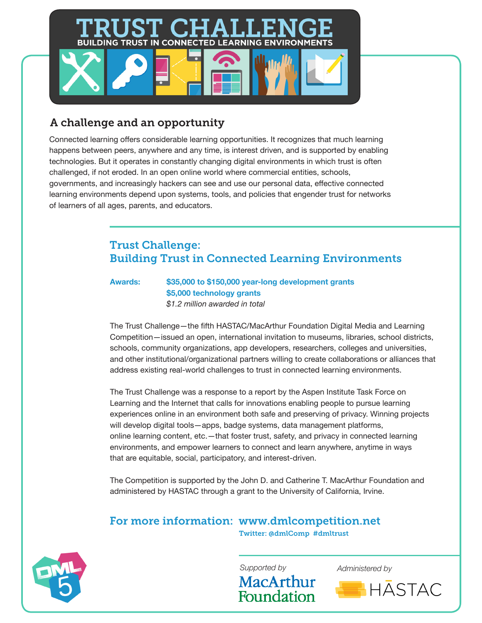# **BUILDING TRUST IN CONNECTED LEARNING ENVIRONMENTS**

# A challenge and an opportunity

Connected learning offers considerable learning opportunities. It recognizes that much learning happens between peers, anywhere and any time, is interest driven, and is supported by enabling technologies. But it operates in constantly changing digital environments in which trust is often challenged, if not eroded. In an open online world where commercial entities, schools, governments, and increasingly hackers can see and use our personal data, effective connected learning environments depend upon systems, tools, and policies that engender trust for networks of learners of all ages, parents, and educators.

# Trust Challenge: Building Trust in Connected Learning Environments

**Awards: \$35,000 to \$150,000 year-long development grants \$5,000 technology grants**  *\$1.2 million awarded in total* 

The Trust Challenge—the fifth HASTAC/MacArthur Foundation Digital Media and Learning Competition—issued an open, international invitation to museums, libraries, school districts, schools, community organizations, app developers, researchers, colleges and universities, and other institutional/organizational partners willing to create collaborations or alliances that address existing real-world challenges to trust in connected learning environments.

The Trust Challenge was a response to a report by the Aspen Institute Task Force on Learning and the Internet that calls for innovations enabling people to pursue learning experiences online in an environment both safe and preserving of privacy. Winning projects will develop digital tools—apps, badge systems, data management platforms, online learning content, etc.—that foster trust, safety, and privacy in connected learning environments, and empower learners to connect and learn anywhere, anytime in ways that are equitable, social, participatory, and interest-driven.

The Competition is supported by the John D. and Catherine T. MacArthur Foundation and administered by HASTAC through a grant to the University of California, Irvine.

# For more information: www.dmlcompetition.net

Twitter: @dmlComp #dmltrust



MacArthur

Foundation

*Supported by Administered by*

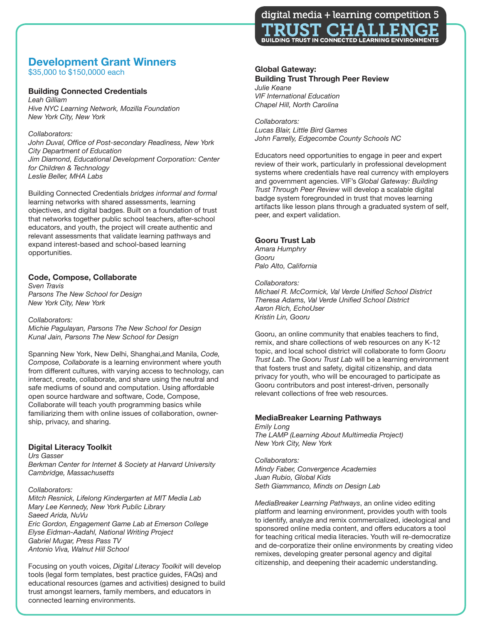# **Development Grant Winners**

\$35,000 to \$150,0000 each

#### **Building Connected Credentials**

*Leah Gilliam Hive NYC Learning Network, Mozilla Foundation New York City, New York*

#### *Collaborators:*

*John Duval, Office of Post-secondary Readiness, New York City Department of Education Jim Diamond, Educational Development Corporation: Center for Children & Technology Leslie Beller, MHA Labs*

Building Connected Credentials *bridges informal and formal*  learning networks with shared assessments, learning objectives, and digital badges. Built on a foundation of trust that networks together public school teachers, after-school educators, and youth, the project will create authentic and relevant assessments that validate learning pathways and expand interest-based and school-based learning opportunities.

## **Code, Compose, Collaborate**

*Sven Travis Parsons The New School for Design New York City, New York*

#### *Collaborators:*

*Michie Pagulayan, Parsons The New School for Design Kunal Jain, Parsons The New School for Design*

Spanning New York, New Delhi, Shanghai,and Manila, *Code, Compose, Collaborate* is a learning environment where youth from different cultures, with varying access to technology, can interact, create, collaborate, and share using the neutral and safe mediums of sound and computation. Using affordable open source hardware and software, Code, Compose, Collaborate will teach youth programming basics while familiarizing them with online issues of collaboration, ownership, privacy, and sharing.

### **Digital Literacy Toolkit**

*Urs Gasser*

*Berkman Center for Internet & Society at Harvard University Cambridge, Massachusetts*

#### *Collaborators:*

*Mitch Resnick, Lifelong Kindergarten at MIT Media Lab Mary Lee Kennedy, New York Public Library Saeed Arida, NuVu Eric Gordon, Engagement Game Lab at Emerson College Elyse Eidman-Aadahl, National Writing Project Gabriel Mugar, Press Pass TV Antonio Viva, Walnut Hill School*

Focusing on youth voices, *Digital Literacy Toolkit* will develop tools (legal form templates, best practice guides, FAQs) and educational resources (games and activities) designed to build trust amongst learners, family members, and educators in connected learning environments.



#### **Global Gateway: Building Trust Through Peer Review** *Julie Keane*

*VIF International Education Chapel Hill, North Carolina*

*Collaborators: Lucas Blair, Little Bird Games John Farrelly, Edgecombe County Schools NC*

Educators need opportunities to engage in peer and expert review of their work, particularly in professional development systems where credentials have real currency with employers and government agencies. VIF's *Global Gateway: Building Trust Through Peer Review* will develop a scalable digital badge system foregrounded in trust that moves learning artifacts like lesson plans through a graduated system of self, peer, and expert validation.

## **Gooru Trust Lab**

*Amara Humphry Gooru Palo Alto, California*

#### *Collaborators:*

*Michael R. McCormick, Val Verde Unified School District Theresa Adams, Val Verde Unified School District Aaron Rich, EchoUser Kristin Lin, Gooru*

Gooru, an online community that enables teachers to find, remix, and share collections of web resources on any K-12 topic, and local school district will collaborate to form *Gooru Trust Lab*. The *Gooru Trust Lab* will be a learning environment that fosters trust and safety, digital citizenship, and data privacy for youth, who will be encouraged to participate as Gooru contributors and post interest-driven, personally relevant collections of free web resources.

## **MediaBreaker Learning Pathways**

*Emily Long The LAMP (Learning About Multimedia Project) New York City, New York*

*Collaborators: Mindy Faber, Convergence Academies Juan Rubio, Global Kids Seth Giammanco, Minds on Design Lab*

*MediaBreaker Learning Pathways*, an online video editing platform and learning environment, provides youth with tools to identify, analyze and remix commercialized, ideological and sponsored online media content, and offers educators a tool for teaching critical media literacies. Youth will re-democratize and de-corporatize their online environments by creating video remixes, developing greater personal agency and digital citizenship, and deepening their academic understanding.